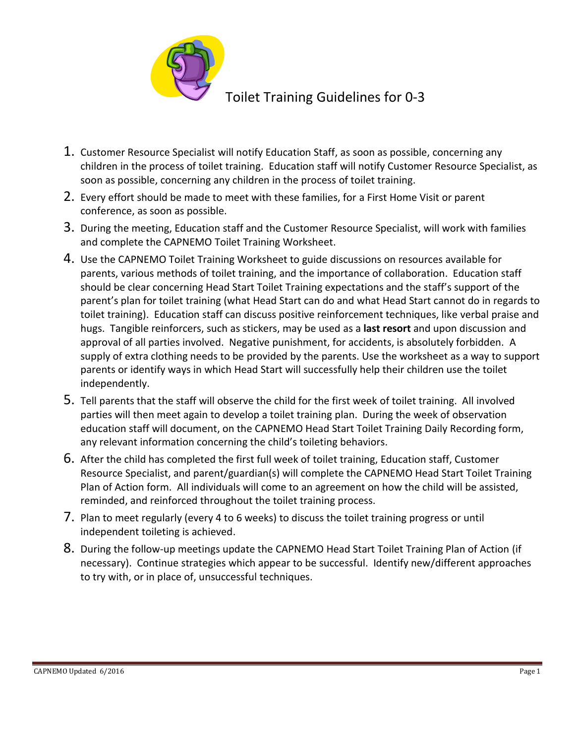

## Toilet Training Guidelines for 0-3

- 1. Customer Resource Specialist will notify Education Staff, as soon as possible, concerning any children in the process of toilet training. Education staff will notify Customer Resource Specialist, as soon as possible, concerning any children in the process of toilet training.
- 2. Every effort should be made to meet with these families, for a First Home Visit or parent conference, as soon as possible.
- 3. During the meeting, Education staff and the Customer Resource Specialist, will work with families and complete the CAPNEMO Toilet Training Worksheet.
- 4. Use the CAPNEMO Toilet Training Worksheet to guide discussions on resources available for parents, various methods of toilet training, and the importance of collaboration. Education staff should be clear concerning Head Start Toilet Training expectations and the staff's support of the parent's plan for toilet training (what Head Start can do and what Head Start cannot do in regards to toilet training). Education staff can discuss positive reinforcement techniques, like verbal praise and hugs. Tangible reinforcers, such as stickers, may be used as a **last resort** and upon discussion and approval of all parties involved. Negative punishment, for accidents, is absolutely forbidden. A supply of extra clothing needs to be provided by the parents. Use the worksheet as a way to support parents or identify ways in which Head Start will successfully help their children use the toilet independently.
- 5. Tell parents that the staff will observe the child for the first week of toilet training. All involved parties will then meet again to develop a toilet training plan. During the week of observation education staff will document, on the CAPNEMO Head Start Toilet Training Daily Recording form, any relevant information concerning the child's toileting behaviors.
- 6. After the child has completed the first full week of toilet training, Education staff, Customer Resource Specialist, and parent/guardian(s) will complete the CAPNEMO Head Start Toilet Training Plan of Action form. All individuals will come to an agreement on how the child will be assisted, reminded, and reinforced throughout the toilet training process.
- 7. Plan to meet regularly (every 4 to 6 weeks) to discuss the toilet training progress or until independent toileting is achieved.
- 8. During the follow-up meetings update the CAPNEMO Head Start Toilet Training Plan of Action (if necessary). Continue strategies which appear to be successful. Identify new/different approaches to try with, or in place of, unsuccessful techniques.